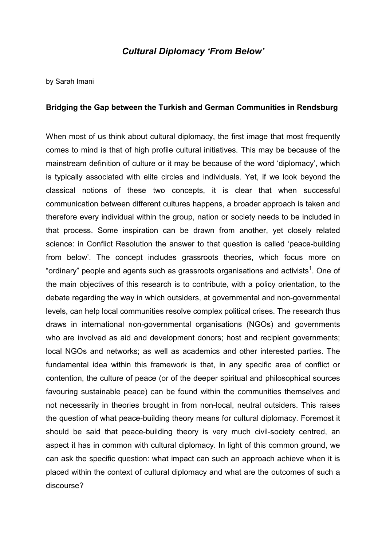## Cultural Diplomacy 'From Below'

by Sarah Imani

### Bridging the Gap between the Turkish and German Communities in Rendsburg

When most of us think about cultural diplomacy, the first image that most frequently comes to mind is that of high profile cultural initiatives. This may be because of the mainstream definition of culture or it may be because of the word 'diplomacy', which is typically associated with elite circles and individuals. Yet, if we look beyond the classical notions of these two concepts, it is clear that when successful communication between different cultures happens, a broader approach is taken and therefore every individual within the group, nation or society needs to be included in that process. Some inspiration can be drawn from another, yet closely related science: in Conflict Resolution the answer to that question is called 'peace-building from below'. The concept includes grassroots theories, which focus more on "ordinary" people and agents such as grassroots organisations and activists<sup>1</sup>. One of the main objectives of this research is to contribute, with a policy orientation, to the debate regarding the way in which outsiders, at governmental and non-governmental levels, can help local communities resolve complex political crises. The research thus draws in international non-governmental organisations (NGOs) and governments who are involved as aid and development donors; host and recipient governments; local NGOs and networks; as well as academics and other interested parties. The fundamental idea within this framework is that, in any specific area of conflict or contention, the culture of peace (or of the deeper spiritual and philosophical sources favouring sustainable peace) can be found within the communities themselves and not necessarily in theories brought in from non-local, neutral outsiders. This raises the question of what peace-building theory means for cultural diplomacy. Foremost it should be said that peace-building theory is very much civil-society centred, an aspect it has in common with cultural diplomacy. In light of this common ground, we can ask the specific question: what impact can such an approach achieve when it is placed within the context of cultural diplomacy and what are the outcomes of such a discourse?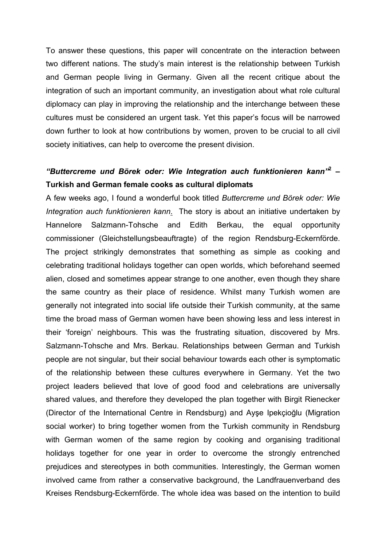To answer these questions, this paper will concentrate on the interaction between two different nations. The study's main interest is the relationship between Turkish and German people living in Germany. Given all the recent critique about the integration of such an important community, an investigation about what role cultural diplomacy can play in improving the relationship and the interchange between these cultures must be considered an urgent task. Yet this paper's focus will be narrowed down further to look at how contributions by women, proven to be crucial to all civil society initiatives, can help to overcome the present division.

# "Buttercreme und Börek oder: Wie Integration auch funktionieren kann<sup>"2</sup> -Turkish and German female cooks as cultural diplomats

A few weeks ago, I found a wonderful book titled Buttercreme und Börek oder: Wie Integration auch funktionieren kann. The story is about an initiative undertaken by Hannelore Salzmann-Tohsche and Edith Berkau, the equal opportunity commissioner (Gleichstellungsbeauftragte) of the region Rendsburg-Eckernförde. The project strikingly demonstrates that something as simple as cooking and celebrating traditional holidays together can open worlds, which beforehand seemed alien, closed and sometimes appear strange to one another, even though they share the same country as their place of residence. Whilst many Turkish women are generally not integrated into social life outside their Turkish community, at the same time the broad mass of German women have been showing less and less interest in their 'foreign' neighbours. This was the frustrating situation, discovered by Mrs. Salzmann-Tohsche and Mrs. Berkau. Relationships between German and Turkish people are not singular, but their social behaviour towards each other is symptomatic of the relationship between these cultures everywhere in Germany. Yet the two project leaders believed that love of good food and celebrations are universally shared values, and therefore they developed the plan together with Birgit Rienecker (Director of the International Centre in Rendsburg) and Ayşe Ipekçioğlu (Migration social worker) to bring together women from the Turkish community in Rendsburg with German women of the same region by cooking and organising traditional holidays together for one year in order to overcome the strongly entrenched prejudices and stereotypes in both communities. Interestingly, the German women involved came from rather a conservative background, the Landfrauenverband des Kreises Rendsburg-Eckernförde. The whole idea was based on the intention to build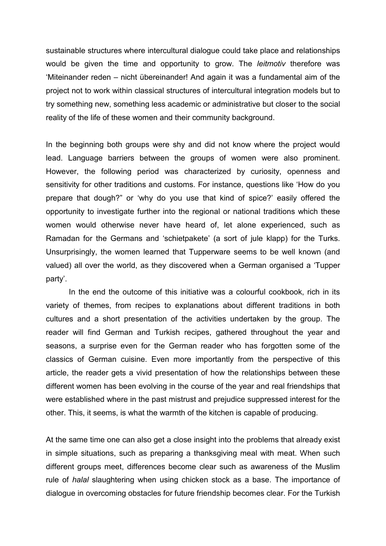sustainable structures where intercultural dialogue could take place and relationships would be given the time and opportunity to grow. The *leitmotiv* therefore was 'Miteinander reden – nicht übereinander! And again it was a fundamental aim of the project not to work within classical structures of intercultural integration models but to try something new, something less academic or administrative but closer to the social reality of the life of these women and their community background.

In the beginning both groups were shy and did not know where the project would lead. Language barriers between the groups of women were also prominent. However, the following period was characterized by curiosity, openness and sensitivity for other traditions and customs. For instance, questions like 'How do you prepare that dough?" or 'why do you use that kind of spice?' easily offered the opportunity to investigate further into the regional or national traditions which these women would otherwise never have heard of, let alone experienced, such as Ramadan for the Germans and 'schietpakete' (a sort of jule klapp) for the Turks. Unsurprisingly, the women learned that Tupperware seems to be well known (and valued) all over the world, as they discovered when a German organised a 'Tupper party'.

In the end the outcome of this initiative was a colourful cookbook, rich in its variety of themes, from recipes to explanations about different traditions in both cultures and a short presentation of the activities undertaken by the group. The reader will find German and Turkish recipes, gathered throughout the year and seasons, a surprise even for the German reader who has forgotten some of the classics of German cuisine. Even more importantly from the perspective of this article, the reader gets a vivid presentation of how the relationships between these different women has been evolving in the course of the year and real friendships that were established where in the past mistrust and prejudice suppressed interest for the other. This, it seems, is what the warmth of the kitchen is capable of producing.

At the same time one can also get a close insight into the problems that already exist in simple situations, such as preparing a thanksgiving meal with meat. When such different groups meet, differences become clear such as awareness of the Muslim rule of halal slaughtering when using chicken stock as a base. The importance of dialogue in overcoming obstacles for future friendship becomes clear. For the Turkish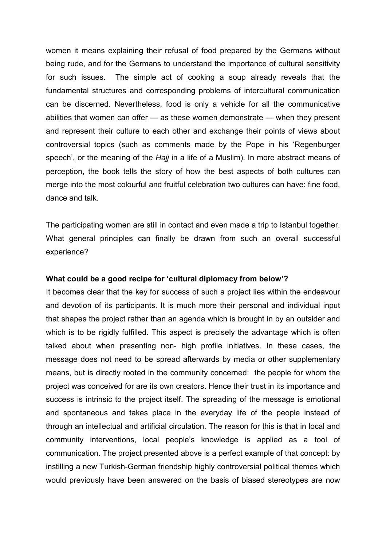women it means explaining their refusal of food prepared by the Germans without being rude, and for the Germans to understand the importance of cultural sensitivity for such issues. The simple act of cooking a soup already reveals that the fundamental structures and corresponding problems of intercultural communication can be discerned. Nevertheless, food is only a vehicle for all the communicative abilities that women can offer — as these women demonstrate — when they present and represent their culture to each other and exchange their points of views about controversial topics (such as comments made by the Pope in his 'Regenburger speech', or the meaning of the Hajj in a life of a Muslim). In more abstract means of perception, the book tells the story of how the best aspects of both cultures can merge into the most colourful and fruitful celebration two cultures can have: fine food, dance and talk.

The participating women are still in contact and even made a trip to Istanbul together. What general principles can finally be drawn from such an overall successful experience?

### What could be a good recipe for 'cultural diplomacy from below'?

It becomes clear that the key for success of such a project lies within the endeavour and devotion of its participants. It is much more their personal and individual input that shapes the project rather than an agenda which is brought in by an outsider and which is to be rigidly fulfilled. This aspect is precisely the advantage which is often talked about when presenting non- high profile initiatives. In these cases, the message does not need to be spread afterwards by media or other supplementary means, but is directly rooted in the community concerned: the people for whom the project was conceived for are its own creators. Hence their trust in its importance and success is intrinsic to the project itself. The spreading of the message is emotional and spontaneous and takes place in the everyday life of the people instead of through an intellectual and artificial circulation. The reason for this is that in local and community interventions, local people's knowledge is applied as a tool of communication. The project presented above is a perfect example of that concept: by instilling a new Turkish-German friendship highly controversial political themes which would previously have been answered on the basis of biased stereotypes are now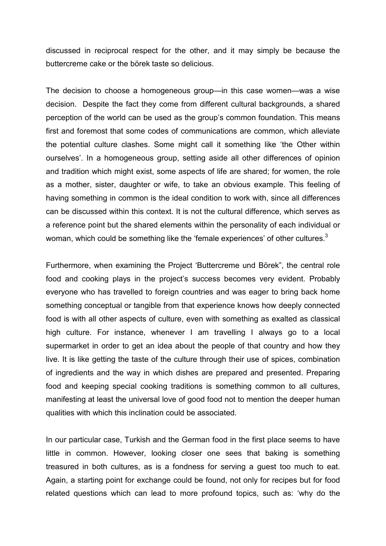discussed in reciprocal respect for the other, and it may simply be because the buttercreme cake or the börek taste so delicious.

The decision to choose a homogeneous group—in this case women—was a wise decision. Despite the fact they come from different cultural backgrounds, a shared perception of the world can be used as the group's common foundation. This means first and foremost that some codes of communications are common, which alleviate the potential culture clashes. Some might call it something like 'the Other within ourselves'. In a homogeneous group, setting aside all other differences of opinion and tradition which might exist, some aspects of life are shared; for women, the role as a mother, sister, daughter or wife, to take an obvious example. This feeling of having something in common is the ideal condition to work with, since all differences can be discussed within this context. It is not the cultural difference, which serves as a reference point but the shared elements within the personality of each individual or woman, which could be something like the 'female experiences' of other cultures.<sup>3</sup>

Furthermore, when examining the Project 'Buttercreme und Börek", the central role food and cooking plays in the project's success becomes very evident. Probably everyone who has travelled to foreign countries and was eager to bring back home something conceptual or tangible from that experience knows how deeply connected food is with all other aspects of culture, even with something as exalted as classical high culture. For instance, whenever I am travelling I always go to a local supermarket in order to get an idea about the people of that country and how they live. It is like getting the taste of the culture through their use of spices, combination of ingredients and the way in which dishes are prepared and presented. Preparing food and keeping special cooking traditions is something common to all cultures, manifesting at least the universal love of good food not to mention the deeper human qualities with which this inclination could be associated.

In our particular case, Turkish and the German food in the first place seems to have little in common. However, looking closer one sees that baking is something treasured in both cultures, as is a fondness for serving a guest too much to eat. Again, a starting point for exchange could be found, not only for recipes but for food related questions which can lead to more profound topics, such as: 'why do the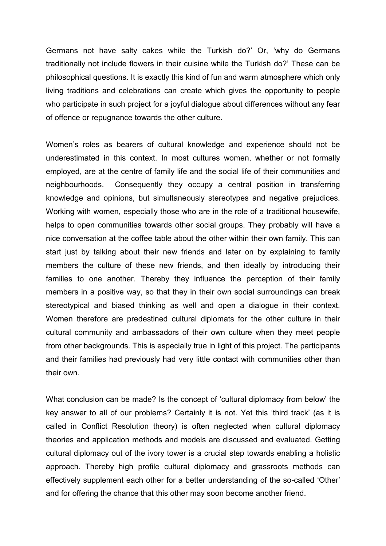Germans not have salty cakes while the Turkish do?' Or, 'why do Germans traditionally not include flowers in their cuisine while the Turkish do?' These can be philosophical questions. It is exactly this kind of fun and warm atmosphere which only living traditions and celebrations can create which gives the opportunity to people who participate in such project for a joyful dialogue about differences without any fear of offence or repugnance towards the other culture.

Women's roles as bearers of cultural knowledge and experience should not be underestimated in this context. In most cultures women, whether or not formally employed, are at the centre of family life and the social life of their communities and neighbourhoods. Consequently they occupy a central position in transferring knowledge and opinions, but simultaneously stereotypes and negative prejudices. Working with women, especially those who are in the role of a traditional housewife, helps to open communities towards other social groups. They probably will have a nice conversation at the coffee table about the other within their own family. This can start just by talking about their new friends and later on by explaining to family members the culture of these new friends, and then ideally by introducing their families to one another. Thereby they influence the perception of their family members in a positive way, so that they in their own social surroundings can break stereotypical and biased thinking as well and open a dialogue in their context. Women therefore are predestined cultural diplomats for the other culture in their cultural community and ambassadors of their own culture when they meet people from other backgrounds. This is especially true in light of this project. The participants and their families had previously had very little contact with communities other than their own.

What conclusion can be made? Is the concept of 'cultural diplomacy from below' the key answer to all of our problems? Certainly it is not. Yet this 'third track' (as it is called in Conflict Resolution theory) is often neglected when cultural diplomacy theories and application methods and models are discussed and evaluated. Getting cultural diplomacy out of the ivory tower is a crucial step towards enabling a holistic approach. Thereby high profile cultural diplomacy and grassroots methods can effectively supplement each other for a better understanding of the so-called 'Other' and for offering the chance that this other may soon become another friend.